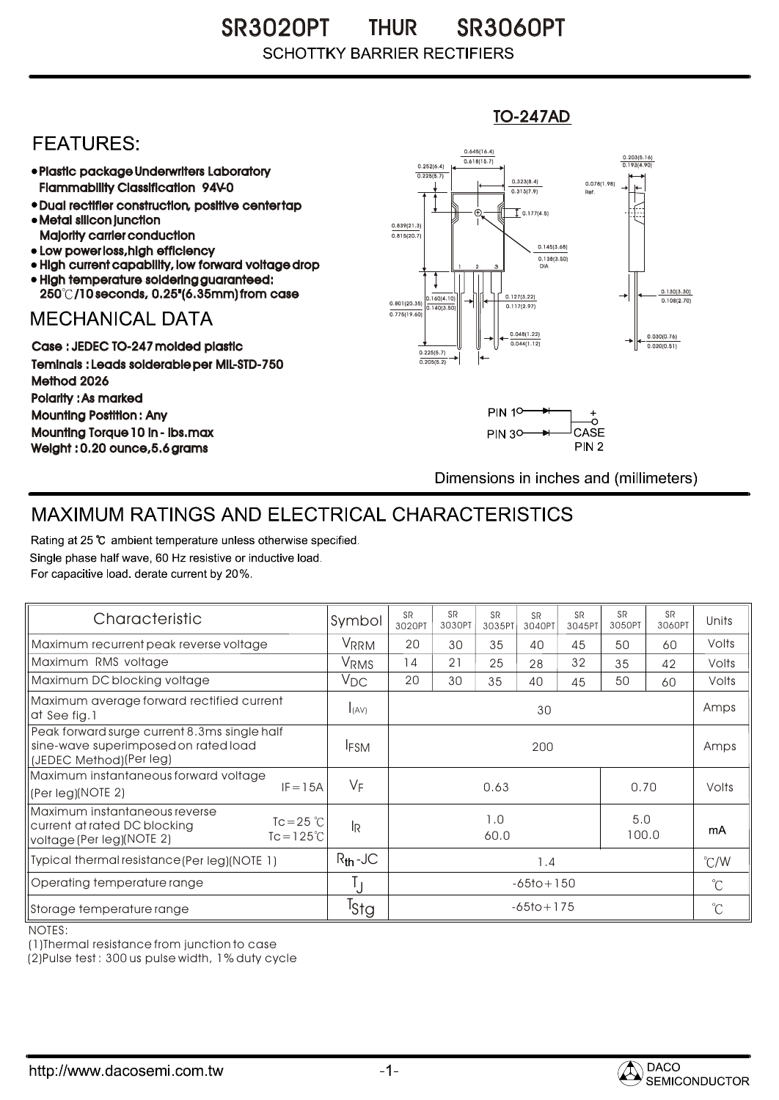SR3020PT THUR SR3060PT **SCHOTTKY BARRIER RECTIFIERS** 

## **FEATURES:**

- Plastic package Underwriters Laboratory Flammability Classification 94V-0
- Dual rectifier construction, positive center tap Metal silicon junction
- Majority carrier conduction
- Low power loss, high efficiency
- High current capability, low forward voltage drop High temperature soldering guaranteed:
- 250 /10 seconds, 0.25"(6.35mm) from case

## **MECHANICAL DATA**

Case : JEDEC TO-247 molded plastic Teminals : Leads solderable per MIL-STD-750 Method 2026 Polarity : As marked Mounting Postition : Any Mounting Torque 10 in - lbs.max Weight : 0.20 ounce,5.6 grams



TO-247AD



Dimensions in inches and (millimeters)

## MAXIMUM RATINGS AND ELECTRICAL CHARACTERISTICS

Rating at 25 °C ambient temperature unless otherwise specified. Single phase half wave, 60 Hz resistive or inductive load. For capacitive load, derate current by 20%.

| Characteristic                                                                                                                              | Symbol           | <b>SR</b><br>3020PT | <b>SR</b><br>3030PT | <b>SR</b><br>3035PT | <b>SR</b><br>3040PT | <b>SR</b><br>3045PT | <b>SR</b><br>3050PT | <b>SR</b><br>3060PT | Units |
|---------------------------------------------------------------------------------------------------------------------------------------------|------------------|---------------------|---------------------|---------------------|---------------------|---------------------|---------------------|---------------------|-------|
| Maximum recurrent peak reverse voltage                                                                                                      | VRRM             | 20                  | 30                  | 35                  | 40                  | 45                  | 50                  | 60                  | Volts |
| Maximum RMS voltage                                                                                                                         | VRMS             | 14                  | 21                  | 25                  | 28                  | 32                  | 35                  | 42                  | Volts |
| Maximum DC blocking voltage                                                                                                                 | $V_{DC}$         | 20                  | 30                  | 35                  | 40                  | 45                  | 50                  | 60                  | Volts |
| Maximum average forward rectified current<br>at See fig.1                                                                                   | I(AV)            | 30                  |                     |                     |                     |                     |                     |                     | Amps  |
| Peak forward surge current 8.3ms single half<br>sine-wave superimposed on rated load<br>(JEDEC Method)(Per leg)                             | <b>IFSM</b>      | 200                 |                     |                     |                     |                     |                     |                     | Amps  |
| Maximum instantaneous forward voltage<br>$IF = 15A$<br>(Per leg)(NOTE 2)                                                                    | VF               | 0.63<br>0.70        |                     |                     |                     |                     |                     | Volts               |       |
| Maximum instantaneous reverse<br>$Tc = 25$ $\degree$ C<br>current at rated DC blocking<br>$Tc = 125^{\circ}$ C<br>voltage (Per leg)(NOTE 2) | <sup>I</sup> R   | 1.0<br>60.0         |                     |                     |                     |                     | 5.0<br>100.0        |                     | mA    |
| Typical thermal resistance (Per leg) (NOTE 1)                                                                                               | $R_{th}$ -JC     | 1.4                 |                     |                     |                     |                     |                     | $\degree$ C/W       |       |
| Operating temperature range                                                                                                                 | Ţ                | $-65$ to + 150      |                     |                     |                     |                     |                     | $^{\circ}C$         |       |
| Storage temperature range                                                                                                                   | <sup>I</sup> Stg | $-65$ to + 175      |                     |                     |                     |                     |                     | $^{\circ}C$         |       |

NOTES:

(1)Thermal resistance from junction to case

(2)Pulse test : 300 us pulse width, 1% duty cycle